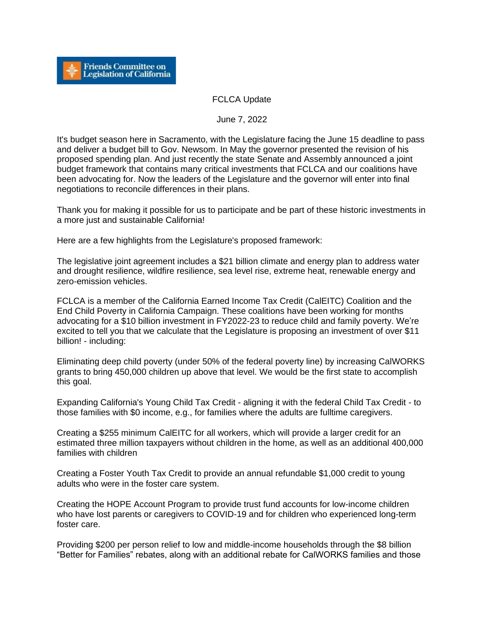

## FCLCA Update

June 7, 2022

It's budget season here in Sacramento, with the Legislature facing the June 15 deadline to pass and deliver a budget bill to Gov. Newsom. In May the governor presented the revision of his proposed spending plan. And just recently the state Senate and Assembly announced a joint budget framework that contains many critical investments that FCLCA and our coalitions have been advocating for. Now the leaders of the Legislature and the governor will enter into final negotiations to reconcile differences in their plans.

Thank you for making it possible for us to participate and be part of these historic investments in a more just and sustainable California!

Here are a few highlights from the Legislature's proposed framework:

The legislative joint agreement includes a \$21 billion climate and energy plan to address water and drought resilience, wildfire resilience, sea level rise, extreme heat, renewable energy and zero-emission vehicles.

FCLCA is a member of the California Earned Income Tax Credit (CalEITC) Coalition and the End Child Poverty in California Campaign. These coalitions have been working for months advocating for a \$10 billion investment in FY2022-23 to reduce child and family poverty. We're excited to tell you that we calculate that the Legislature is proposing an investment of over \$11 billion! - including:

Eliminating deep child poverty (under 50% of the federal poverty line) by increasing CalWORKS grants to bring 450,000 children up above that level. We would be the first state to accomplish this goal.

Expanding California's Young Child Tax Credit - aligning it with the federal Child Tax Credit - to those families with \$0 income, e.g., for families where the adults are fulltime caregivers.

Creating a \$255 minimum CalEITC for all workers, which will provide a larger credit for an estimated three million taxpayers without children in the home, as well as an additional 400,000 families with children

Creating a Foster Youth Tax Credit to provide an annual refundable \$1,000 credit to young adults who were in the foster care system.

Creating the HOPE Account Program to provide trust fund accounts for low-income children who have lost parents or caregivers to COVID-19 and for children who experienced long-term foster care.

Providing \$200 per person relief to low and middle-income households through the \$8 billion "Better for Families" rebates, along with an additional rebate for CalWORKS families and those